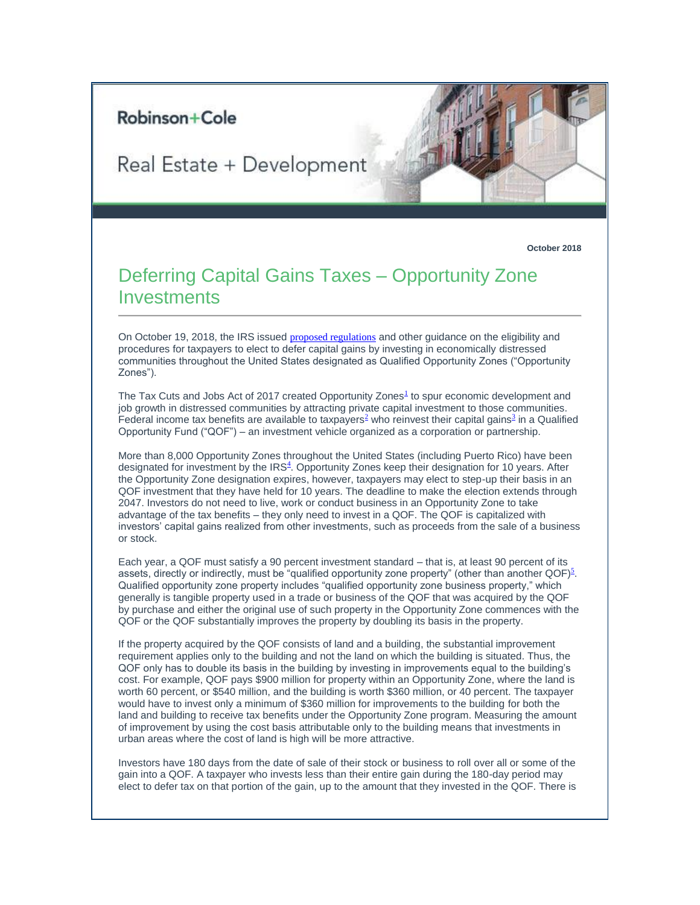## Robinson+Cole

## Real Estate + Development

**October 2018**

## Deferring Capital Gains Taxes – Opportunity Zone **Investments**

On October 19, 2018, the IRS issued [proposed regulations](https://protect-us.mimecast.com/s/RWGVCOYGvRfplXQVsXrj6O?domain=t2806904.omkt.co) and other guidance on the eligibility and procedures for taxpayers to elect to defer capital gains by investing in economically distressed communities throughout the United States designated as Qualified Opportunity Zones ("Opportunity Zones").

The Tax Cut[s](#page-1-0) and Jobs Act of 2017 created Opportunity Zones<sup>1</sup> to spur economic development and job growth in distressed communities by attracting private capital investment to those communities. Federal income tax benefits are available to taxpayers<sup>[2](#page-1-1)</[s](#page-1-2)up> who reinvest their capital gains<sup>3</sup> in a Qualified Opportunity Fund ("QOF") – an investment vehicle organized as a corporation or partnership.

More than 8,000 Opportunity Zones throughout the United States (including Puerto Rico) have been designated for investment by the IR[S](#page-1-3)<sup>4</sup>. Opportunity Zones keep their designation for 10 years. After the Opportunity Zone designation expires, however, taxpayers may elect to step-up their basis in an QOF investment that they have held for 10 years. The deadline to make the election extends through 2047. Investors do not need to live, work or conduct business in an Opportunity Zone to take advantage of the tax benefits – they only need to invest in a QOF. The QOF is capitalized with investors' capital gains realized from other investments, such as proceeds from the sale of a business or stock.

Each year, a QOF must satisfy a 90 percent investment standard – that is, at least 90 percent of its assets, directly or indirectly, must be "qualified opportunity zone property" (other than another QOF[\)](#page-1-4) $^5$ . Qualified opportunity zone property includes "qualified opportunity zone business property," which generally is tangible property used in a trade or business of the QOF that was acquired by the QOF by purchase and either the original use of such property in the Opportunity Zone commences with the QOF or the QOF substantially improves the property by doubling its basis in the property.

If the property acquired by the QOF consists of land and a building, the substantial improvement requirement applies only to the building and not the land on which the building is situated. Thus, the QOF only has to double its basis in the building by investing in improvements equal to the building's cost. For example, QOF pays \$900 million for property within an Opportunity Zone, where the land is worth 60 percent, or \$540 million, and the building is worth \$360 million, or 40 percent. The taxpayer would have to invest only a minimum of \$360 million for improvements to the building for both the land and building to receive tax benefits under the Opportunity Zone program. Measuring the amount of improvement by using the cost basis attributable only to the building means that investments in urban areas where the cost of land is high will be more attractive.

Investors have 180 days from the date of sale of their stock or business to roll over all or some of the gain into a QOF. A taxpayer who invests less than their entire gain during the 180-day period may elect to defer tax on that portion of the gain, up to the amount that they invested in the QOF. There is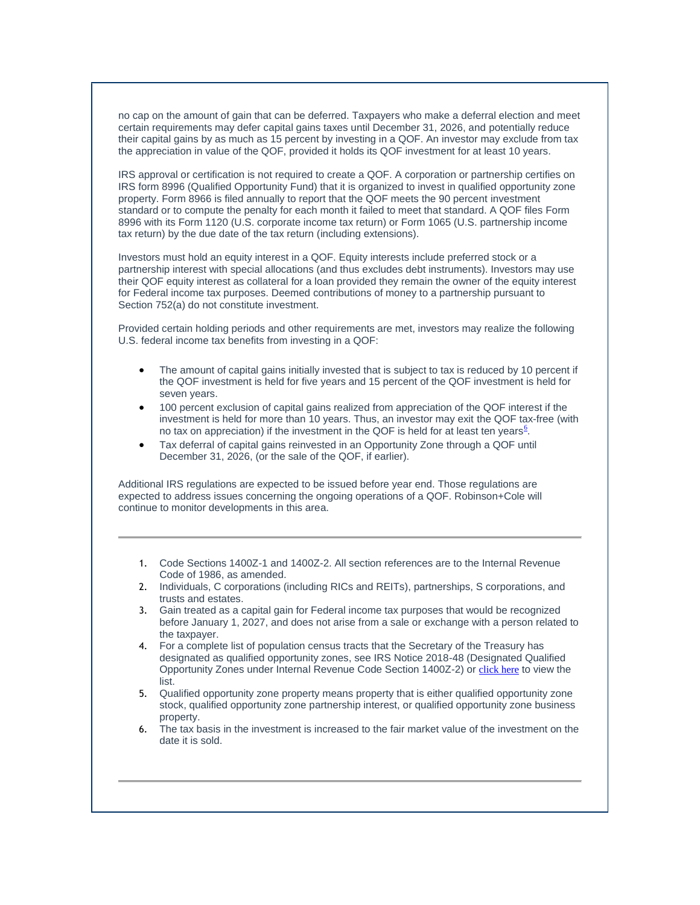no cap on the amount of gain that can be deferred. Taxpayers who make a deferral election and meet certain requirements may defer capital gains taxes until December 31, 2026, and potentially reduce their capital gains by as much as 15 percent by investing in a QOF. An investor may exclude from tax the appreciation in value of the QOF, provided it holds its QOF investment for at least 10 years.

IRS approval or certification is not required to create a QOF. A corporation or partnership certifies on IRS form 8996 (Qualified Opportunity Fund) that it is organized to invest in qualified opportunity zone property. Form 8966 is filed annually to report that the QOF meets the 90 percent investment standard or to compute the penalty for each month it failed to meet that standard. A QOF files Form 8996 with its Form 1120 (U.S. corporate income tax return) or Form 1065 (U.S. partnership income tax return) by the due date of the tax return (including extensions).

Investors must hold an equity interest in a QOF. Equity interests include preferred stock or a partnership interest with special allocations (and thus excludes debt instruments). Investors may use their QOF equity interest as collateral for a loan provided they remain the owner of the equity interest for Federal income tax purposes. Deemed contributions of money to a partnership pursuant to Section 752(a) do not constitute investment.

Provided certain holding periods and other requirements are met, investors may realize the following U.S. federal income tax benefits from investing in a QOF:

- The amount of capital gains initially invested that is subject to tax is reduced by 10 percent if the QOF investment is held for five years and 15 percent of the QOF investment is held for seven years.
- 100 percent exclusion of capital gains realized from appreciation of the QOF interest if the investment is held for more than 10 years. Thus, an investor may exit the QOF tax-free (with no tax on appreciation) if the inve[s](#page-1-5)tment in the QOF is held for at least ten years<sup>6</sup>.
- Tax deferral of capital gains reinvested in an Opportunity Zone through a QOF until December 31, 2026, (or the sale of the QOF, if earlier).

Additional IRS regulations are expected to be issued before year end. Those regulations are expected to address issues concerning the ongoing operations of a QOF. Robinson+Cole will continue to monitor developments in this area.

- <span id="page-1-0"></span>1. Code Sections 1400Z-1 and 1400Z-2. All section references are to the Internal Revenue Code of 1986, as amended.
- <span id="page-1-1"></span>2. Individuals, C corporations (including RICs and REITs), partnerships, S corporations, and trusts and estates.
- <span id="page-1-2"></span>3. Gain treated as a capital gain for Federal income tax purposes that would be recognized before January 1, 2027, and does not arise from a sale or exchange with a person related to the taxpayer.
- <span id="page-1-3"></span>4. For a complete list of population census tracts that the Secretary of the Treasury has designated as qualified opportunity zones, see IRS Notice 2018-48 (Designated Qualified Opportunity Zones under Internal Revenue Code Section 1400Z-2) or [click here](https://protect-us.mimecast.com/s/pQVhCPNGw8CK9mVYFv04xj?domain=t2806904.omkt.co) to view the list.
- <span id="page-1-4"></span>5. Qualified opportunity zone property means property that is either qualified opportunity zone stock, qualified opportunity zone partnership interest, or qualified opportunity zone business property.
- <span id="page-1-5"></span>6. The tax basis in the investment is increased to the fair market value of the investment on the date it is sold.